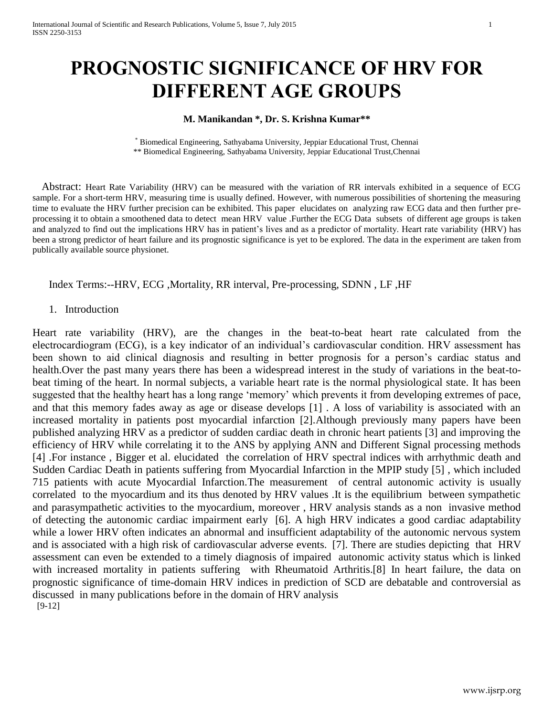# **PROGNOSTIC SIGNIFICANCE OF HRV FOR DIFFERENT AGE GROUPS**

## **M. Manikandan \*, Dr. S. Krishna Kumar\*\***

\* Biomedical Engineering, Sathyabama University, Jeppiar Educational Trust, Chennai \*\* Biomedical Engineering, Sathyabama University, Jeppiar Educational Trust,Chennai

Abstract: Heart Rate Variability (HRV) can be measured with the variation of RR intervals exhibited in a sequence of ECG sample. For a short-term HRV, measuring time is usually defined. However, with numerous possibilities of shortening the measuring time to evaluate the HRV further precision can be exhibited. This paper elucidates on analyzing raw ECG data and then further preprocessing it to obtain a smoothened data to detect mean HRV value .Further the ECG Data subsets of different age groups is taken and analyzed to find out the implications HRV has in patient's lives and as a predictor of mortality. Heart rate variability (HRV) has been a strong predictor of heart failure and its prognostic significance is yet to be explored. The data in the experiment are taken from publically available source physionet.

## Index Terms:--HRV, ECG ,Mortality, RR interval, Pre-processing, SDNN , LF ,HF

### 1. Introduction

Heart rate variability (HRV), are the changes in the beat-to-beat heart rate calculated from the electrocardiogram (ECG), is a key indicator of an individual's cardiovascular condition. HRV assessment has been shown to aid clinical diagnosis and resulting in better prognosis for a person's cardiac status and health.Over the past many years there has been a widespread interest in the study of variations in the beat-tobeat timing of the heart. In normal subjects, a variable heart rate is the normal physiological state. It has been suggested that the healthy heart has a long range 'memory' which prevents it from developing extremes of pace, and that this memory fades away as age or disease develops [1] . A loss of variability is associated with an increased mortality in patients post myocardial infarction [2].Although previously many papers have been published analyzing HRV as a predictor of sudden cardiac death in chronic heart patients [3] and improving the efficiency of HRV while correlating it to the ANS by applying ANN and Different Signal processing methods [4] .For instance , Bigger et al. elucidated the correlation of HRV spectral indices with arrhythmic death and Sudden Cardiac Death in patients suffering from Myocardial Infarction in the MPIP study [5] , which included 715 patients with acute Myocardial Infarction.The measurement of central autonomic activity is usually correlated to the myocardium and its thus denoted by HRV values .It is the equilibrium between sympathetic and parasympathetic activities to the myocardium, moreover , HRV analysis stands as a non invasive method of detecting the autonomic cardiac impairment early [6]. A high HRV indicates a good cardiac adaptability while a lower HRV often indicates an abnormal and insufficient adaptability of the autonomic nervous system and is associated with a high risk of cardiovascular adverse events. [7]. There are studies depicting that HRV assessment can even be extended to a timely diagnosis of impaired autonomic activity status which is linked with increased mortality in patients suffering with Rheumatoid Arthritis.<sup>[8]</sup> In heart failure, the data on prognostic significance of time-domain HRV indices in prediction of SCD are debatable and controversial as discussed in many publications before in the domain of HRV analysis [9-12]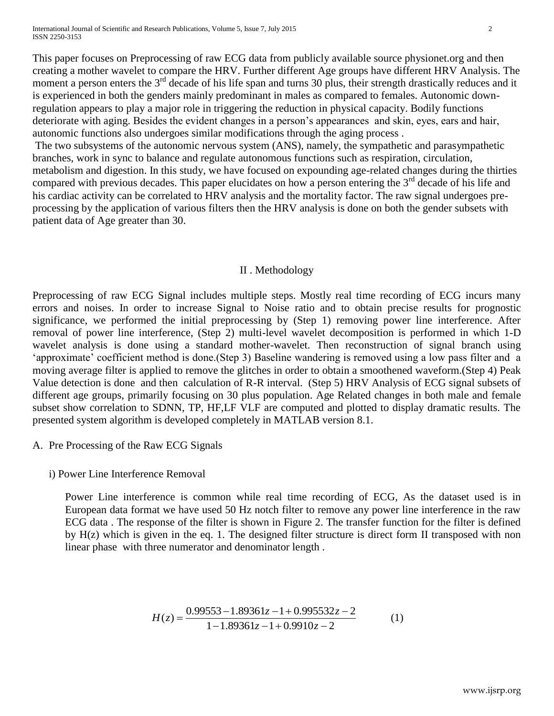International Journal of Scientific and Research Publications, Volume 5, Issue 7, July 2015 2 ISSN 2250-3153

This paper focuses on Preprocessing of raw ECG data from publicly available source physionet.org and then creating a mother wavelet to compare the HRV. Further different Age groups have different HRV Analysis. The moment a person enters the  $3<sup>rd</sup>$  decade of his life span and turns 30 plus, their strength drastically reduces and it is experienced in both the genders mainly predominant in males as compared to females. Autonomic downregulation appears to play a major role in triggering the reduction in physical capacity. Bodily functions deteriorate with aging. Besides the evident changes in a person's appearances and skin, eyes, ears and hair, autonomic functions also undergoes similar modifications through the aging process .

The two subsystems of the autonomic nervous system (ANS), namely, the sympathetic and parasympathetic branches, work in sync to balance and regulate autonomous functions such as respiration, circulation, metabolism and digestion. In this study, we have focused on expounding age-related changes during the thirties compared with previous decades. This paper elucidates on how a person entering the 3<sup>rd</sup> decade of his life and his cardiac activity can be correlated to HRV analysis and the mortality factor. The raw signal undergoes preprocessing by the application of various filters then the HRV analysis is done on both the gender subsets with patient data of Age greater than 30.

## II . Methodology

Preprocessing of raw ECG Signal includes multiple steps. Mostly real time recording of ECG incurs many errors and noises. In order to increase Signal to Noise ratio and to obtain precise results for prognostic significance, we performed the initial preprocessing by (Step 1) removing power line interference. After removal of power line interference, (Step 2) multi-level wavelet decomposition is performed in which 1-D wavelet analysis is done using a standard mother-wavelet. Then reconstruction of signal branch using 'approximate' coefficient method is done.(Step 3) Baseline wandering is removed using a low pass filter and a moving average filter is applied to remove the glitches in order to obtain a smoothened waveform.(Step 4) Peak Value detection is done and then calculation of R-R interval. (Step 5) HRV Analysis of ECG signal subsets of different age groups, primarily focusing on 30 plus population. Age Related changes in both male and female subset show correlation to SDNN, TP, HF,LF VLF are computed and plotted to display dramatic results. The presented system algorithm is developed completely in MATLAB version 8.1.

A. Pre Processing of the Raw ECG Signals

i) Power Line Interference Removal

Power Line interference is common while real time recording of ECG, As the dataset used is in European data format we have used 50 Hz notch filter to remove any power line interference in the raw ECG data . The response of the filter is shown in Figure 2. The transfer function for the filter is defined by H(z) which is given in the eq. 1. The designed filter structure is direct form II transposed with non linear phase with three numerator and denominator length .

$$
H(z) = \frac{0.99553 - 1.89361z - 1 + 0.995532z - 2}{1 - 1.89361z - 1 + 0.9910z - 2}
$$
 (1)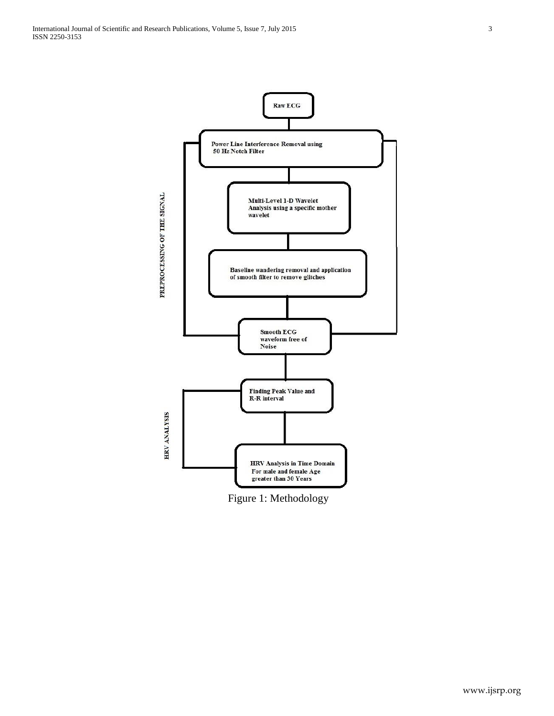

Figure 1: Methodology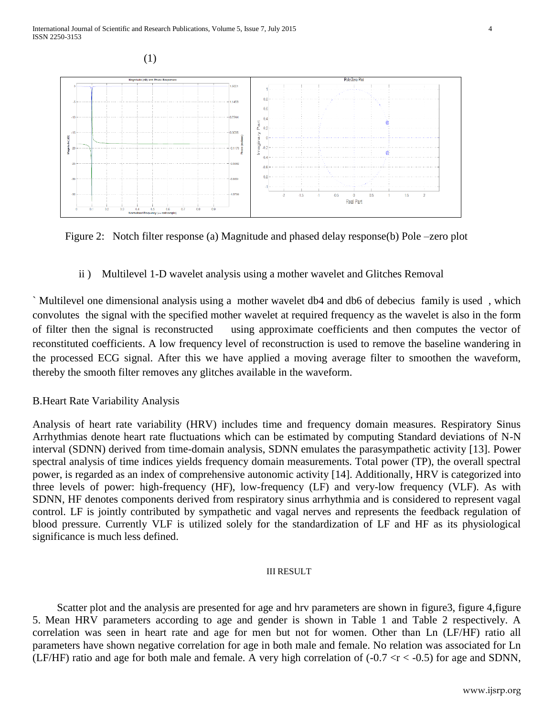

Figure 2: Notch filter response (a) Magnitude and phased delay response (b) Pole –zero plot

ii ) Multilevel 1-D wavelet analysis using a mother wavelet and Glitches Removal

` Multilevel one dimensional analysis using a mother wavelet db4 and db6 of debecius family is used , which convolutes the signal with the specified mother wavelet at required frequency as the wavelet is also in the form of filter then the signal is reconstructed using approximate coefficients and then computes the vector of reconstituted coefficients. A low frequency level of reconstruction is used to remove the baseline wandering in the processed ECG signal. After this we have applied a moving average filter to smoothen the waveform, thereby the smooth filter removes any glitches available in the waveform.

# B.Heart Rate Variability Analysis

Analysis of heart rate variability (HRV) includes time and frequency domain measures. Respiratory Sinus Arrhythmias denote heart rate fluctuations which can be estimated by computing Standard deviations of N-N interval (SDNN) derived from time-domain analysis, SDNN emulates the parasympathetic activity [13]. Power spectral analysis of time indices yields frequency domain measurements. Total power (TP), the overall spectral power, is regarded as an index of comprehensive autonomic activity [14]. Additionally, HRV is categorized into three levels of power: high-frequency (HF), low-frequency (LF) and very-low frequency (VLF). As with SDNN, HF denotes components derived from respiratory sinus arrhythmia and is considered to represent vagal control. LF is jointly contributed by sympathetic and vagal nerves and represents the feedback regulation of blood pressure. Currently VLF is utilized solely for the standardization of LF and HF as its physiological significance is much less defined.

## III RESULT

Scatter plot and the analysis are presented for age and hrv parameters are shown in figure3, figure 4, figure 5. Mean HRV parameters according to age and gender is shown in Table 1 and Table 2 respectively. A correlation was seen in heart rate and age for men but not for women. Other than Ln (LF/HF) ratio all parameters have shown negative correlation for age in both male and female. No relation was associated for Ln (LF/HF) ratio and age for both male and female. A very high correlation of  $(-0.7 < r < -0.5)$  for age and SDNN,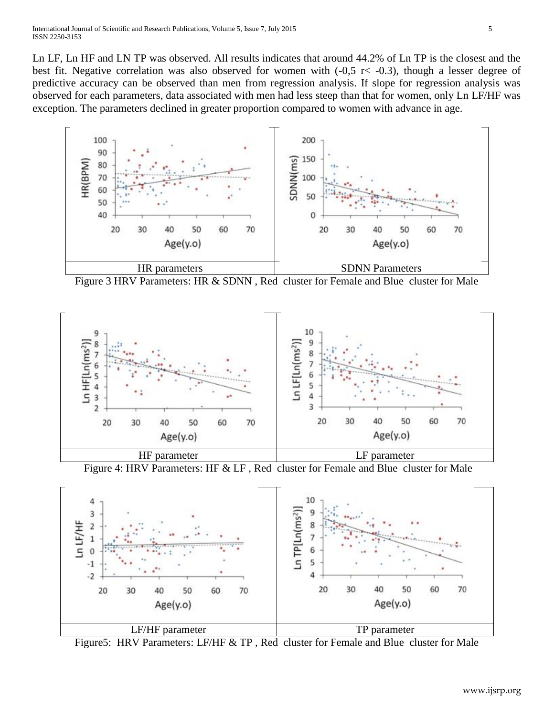Ln LF, Ln HF and LN TP was observed. All results indicates that around 44.2% of Ln TP is the closest and the best fit. Negative correlation was also observed for women with  $(-0.5 \text{ r} < -0.3)$ , though a lesser degree of predictive accuracy can be observed than men from regression analysis. If slope for regression analysis was observed for each parameters, data associated with men had less steep than that for women, only Ln LF/HF was exception. The parameters declined in greater proportion compared to women with advance in age.



Figure 3 HRV Parameters: HR & SDNN , Red cluster for Female and Blue cluster for Male



Figure 4: HRV Parameters: HF & LF , Red cluster for Female and Blue cluster for Male



Figure5: HRV Parameters: LF/HF & TP , Red cluster for Female and Blue cluster for Male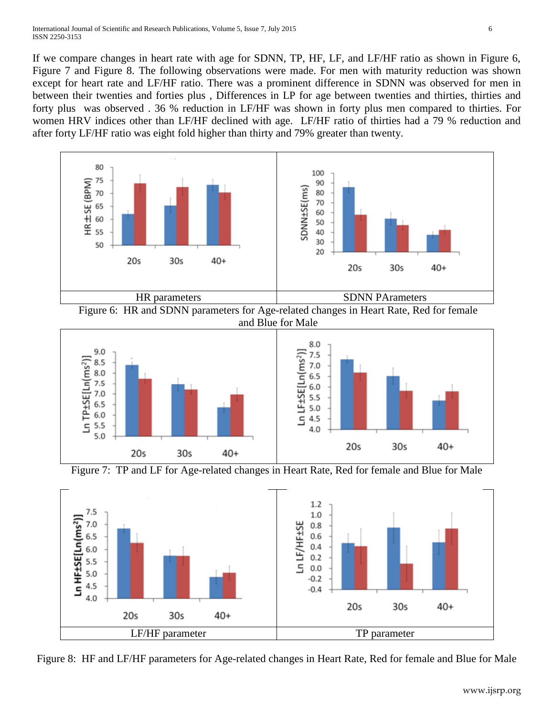If we compare changes in heart rate with age for SDNN, TP, HF, LF, and LF/HF ratio as shown in Figure 6, Figure 7 and Figure 8. The following observations were made. For men with maturity reduction was shown except for heart rate and LF/HF ratio. There was a prominent difference in SDNN was observed for men in between their twenties and forties plus , Differences in LP for age between twenties and thirties, thirties and forty plus was observed . 36 % reduction in LF/HF was shown in forty plus men compared to thirties. For women HRV indices other than LF/HF declined with age. LF/HF ratio of thirties had a 79 % reduction and after forty LF/HF ratio was eight fold higher than thirty and 79% greater than twenty.







Figure 7: TP and LF for Age-related changes in Heart Rate, Red for female and Blue for Male



Figure 8: HF and LF/HF parameters for Age-related changes in Heart Rate, Red for female and Blue for Male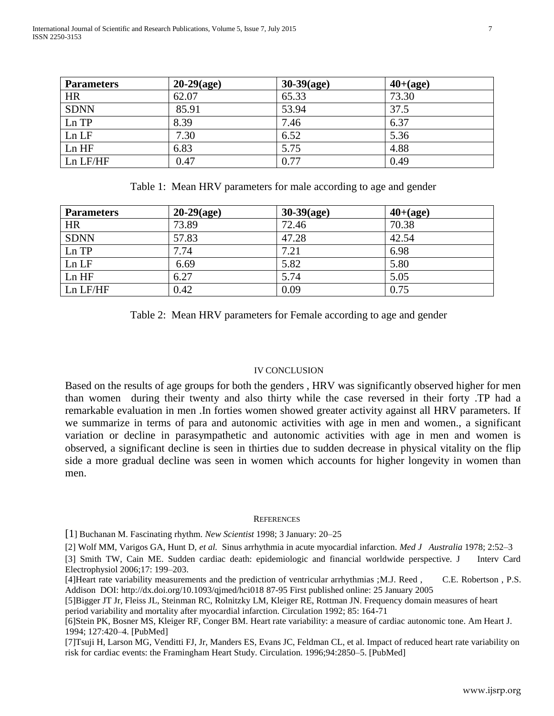| <b>Parameters</b> | $20-29(age)$ | $30-39(age)$ | $40+(age)$ |
|-------------------|--------------|--------------|------------|
| <b>HR</b>         | 62.07        | 65.33        | 73.30      |
| <b>SDNN</b>       | 85.91        | 53.94        | 37.5       |
| Ln TP             | 8.39         | 7.46         | 6.37       |
| Ln LF             | 7.30         | 6.52         | 5.36       |
| Ln HF             | 6.83         | 5.75         | 4.88       |
| Ln LF/HF          | 0.47         | 0.77         | 0.49       |

Table 1: Mean HRV parameters for male according to age and gender

| <b>Parameters</b> | $20-29(age)$ | $30-39(age)$ | $40+(age)$ |
|-------------------|--------------|--------------|------------|
| <b>HR</b>         | 73.89        | 72.46        | 70.38      |
| <b>SDNN</b>       | 57.83        | 47.28        | 42.54      |
| Ln TP             | 7.74         | 7.21         | 6.98       |
| Ln LF             | 6.69         | 5.82         | 5.80       |
| Ln HF             | 6.27         | 5.74         | 5.05       |
| Ln LF/HF          | 0.42         | 0.09         | 0.75       |

Table 2: Mean HRV parameters for Female according to age and gender

## IV CONCLUSION

Based on the results of age groups for both the genders , HRV was significantly observed higher for men than women during their twenty and also thirty while the case reversed in their forty .TP had a remarkable evaluation in men .In forties women showed greater activity against all HRV parameters. If we summarize in terms of para and autonomic activities with age in men and women., a significant variation or decline in parasympathetic and autonomic activities with age in men and women is observed, a significant decline is seen in thirties due to sudden decrease in physical vitality on the flip side a more gradual decline was seen in women which accounts for higher longevity in women than men.

#### **REFERENCES**

[1] Buchanan M. Fascinating rhythm. *New Scientist* 1998; 3 January: 20–25

[2] Wolf MM, Varigos GA, Hunt D, *et al.* Sinus arrhythmia in acute myocardial infarction. *Med J Australia* 1978; 2:52–3

[3] Smith TW, Cain ME. Sudden cardiac death: epidemiologic and financial worldwide perspective. J Interv Card Electrophysiol 2006;17: 199–203.

[4]Heart rate variability measurements and the prediction of ventricular arrhythmias ;M.J. Reed , C.E. Robertson , P.S. Addison DOI: http://dx.doi.org/10.1093/qjmed/hci018 87-95 First published online: 25 January 2005

[5]Bigger JT Jr, Fleiss JL, Steinman RC, Rolnitzky LM, Kleiger RE, Rottman JN. Frequency domain measures of heart period variability and mortality after myocardial infarction. Circulation 1992; 85: 164-71

[6]Stein PK, Bosner MS, Kleiger RF, Conger BM. Heart rate variability: a measure of cardiac autonomic tone. Am Heart J. 1994; 127:420–4. [PubMed]

[7]Tsuji H, Larson MG, Venditti FJ, Jr, Manders ES, Evans JC, Feldman CL, et al. Impact of reduced heart rate variability on risk for cardiac events: the Framingham Heart Study. Circulation. 1996;94:2850–5. [PubMed]